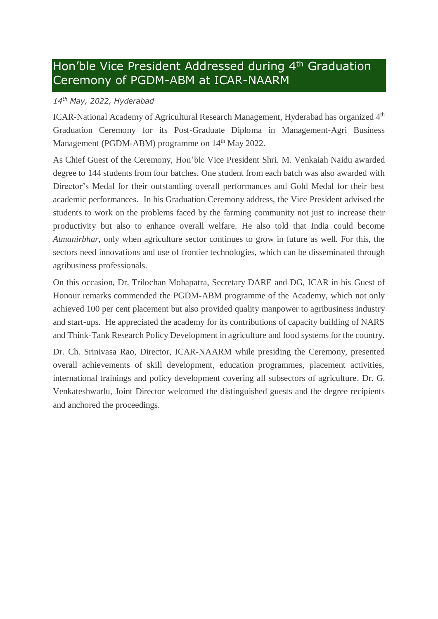## Hon'ble Vice President Addressed during 4<sup>th</sup> Graduation Ceremony of PGDM-ABM at ICAR-NAARM

## *14th May, 2022, Hyderabad*

ICAR-National Academy of Agricultural Research Management, Hyderabad has organized 4<sup>th</sup> Graduation Ceremony for its Post-Graduate Diploma in Management-Agri Business Management (PGDM-ABM) programme on 14<sup>th</sup> May 2022.

As Chief Guest of the Ceremony, Hon'ble Vice President Shri. M. Venkaiah Naidu awarded degree to 144 students from four batches. One student from each batch was also awarded with Director's Medal for their outstanding overall performances and Gold Medal for their best academic performances. In his Graduation Ceremony address, the Vice President advised the students to work on the problems faced by the farming community not just to increase their productivity but also to enhance overall welfare. He also told that India could become *Atmanirbhar*, only when agriculture sector continues to grow in future as well. For this, the sectors need innovations and use of frontier technologies, which can be disseminated through agribusiness professionals.

On this occasion, Dr. Trilochan Mohapatra, Secretary DARE and DG, ICAR in his Guest of Honour remarks commended the PGDM-ABM programme of the Academy, which not only achieved 100 per cent placement but also provided quality manpower to agribusiness industry and start-ups. He appreciated the academy for its contributions of capacity building of NARS and Think-Tank Research Policy Development in agriculture and food systems for the country.

Dr. Ch. Srinivasa Rao, Director, ICAR-NAARM while presiding the Ceremony, presented overall achievements of skill development, education programmes, placement activities, international trainings and policy development covering all subsectors of agriculture. Dr. G. Venkateshwarlu, Joint Director welcomed the distinguished guests and the degree recipients and anchored the proceedings.